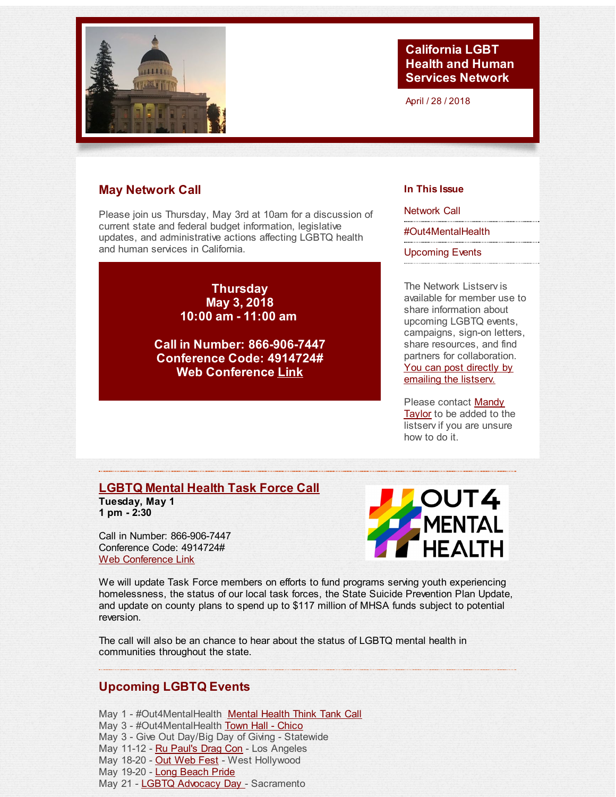<span id="page-0-0"></span>

## **California LGBT Health and Human Services Network**

April / 28 / 2018

# **May Network Call**

Please join us Thursday, May 3rd at 10am for a discussion of current state and federal budget information, legislative updates, and administrative actions affecting LGBTQ health and human services in California.

> **Thursday May 3, 2018 10:00 am - 11:00 am**

**Call in Number: 866-906-7447 Conference Code: 4914724# Web Conference [Link](http://r20.rs6.net/tn.jsp?f=001Eah_-mt2WiyaMSV9D0aCHEb1kRKVikoYG3-xrab2m9JyFVsn19hXmw2VHFueTKys7LKHwqjdmZtP7uBfo4-1PUKrzSHIT1gQEmmDRPFyfl4vIbR6igNv8-6vCCmarTNNtkwkMLJDCi63eCiwY-3EErqMCXHaNXiAtm5KRRz-jsLOe2ZZUfCSCi0qHNJK5imDUMnu6HZ6nG0Gbv2igUU3gdxEm2klwQLfs7GkHfDAp2cthCUes2akAucQfqRW9WIjBFOLyU9ZFkxkOlLOS4BHCSxRKPPq95UaaRdusCxqxxgUDSuUiy4WtyrkiNgeFANDxmcZrYjUPhF_Lpsj_R2PC81kwffYq6uByoaH3xQjAwzXY_b3sw8Tsg==&c=&ch=)**

### **In This Issue**

[Network](#page-0-0) Call

[#Out4MentalHealth](#page-0-0)

[Upcoming](#page-0-0) Events

The Network Listserv is available for member use to share information about upcoming LGBTQ events, campaigns, sign-on letters, share resources, and find partners for collaboration. You can post directly by [emailing](mailto:ca-lgbt-hhs-network-listserv@googlegroups.com) the listserv.

Please [contact](mailto:mtaylor@health-access.org) Mandy Taylor to be added to the listserv if you are unsure how to do it.

### **[LGBTQ](http://r20.rs6.net/tn.jsp?f=001Eah_-mt2WiyaMSV9D0aCHEb1kRKVikoYG3-xrab2m9JyFVsn19hXmwiRQWYlV2qqJSp4k4rvccY0epHXu3pWp-Fu61c7HCzDpvhK8SA2Xl96A-SMs8dPDNW3QrY53a9l_LglgN8vRpbIOXETVaZpW2IIuUu1bsHAfEBgcKC8fsUu35DBlwgTu2_zh_qm7RIVizFEXc4Wsfdq-dG6bTy7aw==&c=&ch=) Mental Health Task Force Call Tuesday, May 1 1 pm - 2:30**

Call in Number: 866-906-7447 Conference Code: 4914724# Web [Conference](http://r20.rs6.net/tn.jsp?f=001Eah_-mt2WiyaMSV9D0aCHEb1kRKVikoYG3-xrab2m9JyFVsn19hXm6qJuXtaWRsSWHtagupNrX9Enr8N7lqNulgSYzfkYmndICQ2nwac-iEu_lsAnnhsEy2FgJer7ZbXJKL2RCGTZ9YRcpWXgod_F8gmxBuFixZzqRMuchc6PltHK4CYY_-STM1bFx_fpOMSMSNSzLLup4HyAubPkyTg-gN1KpdI8ooeWypi-93LeNs8cyJLeYjxp8FDpdJowUyYKq2NelQAAZvhGaM0nxo5HITO_6dSIjvX7t-WlXaljJvRnTbylej_lrNpwQjzsRXICWxb4ey7AZekxRTB2oG8fsJFRSITHT6eSD6Y7dzN61K0UwNtN3NHqpwAhYd3bpwF&c=&ch=) Link



We will update Task Force members on efforts to fund programs serving youth experiencing homelessness, the status of our local task forces, the State Suicide Prevention Plan Update, and update on county plans to spend up to \$117 million of MHSA funds subject to potential reversion.

The call will also be an chance to hear about the status of LGBTQ mental health in communities throughout the state.

## **Upcoming LGBTQ Events**

May 1 - #Out4[Mental](http://r20.rs6.net/tn.jsp?f=001Eah_-mt2WiyaMSV9D0aCHEb1kRKVikoYG3-xrab2m9JyFVsn19hXmwiRQWYlV2qqJSp4k4rvccY0epHXu3pWp-Fu61c7HCzDpvhK8SA2Xl96A-SMs8dPDNW3QrY53a9l_LglgN8vRpbIOXETVaZpW2IIuUu1bsHAfEBgcKC8fsUu35DBlwgTu2_zh_qm7RIVizFEXc4Wsfdq-dG6bTy7aw==&c=&ch=)Health Mental Health Think Tank Call May 3 - #Out4MentalHealth Town Hall - [Chico](http://r20.rs6.net/tn.jsp?f=001Eah_-mt2WiyaMSV9D0aCHEb1kRKVikoYG3-xrab2m9JyFVsn19hXm314VMQXkHK_3jNCk1qTcZLX8ZmP52vY4BJkGtO018cMSo0VCr40k-dW2h1CSmMMj_BTilJqC0Ho5H0bSPBIJAjcjkYk7Hjk1Zq8QrtcIgEQl345M_ZkDWHPaJgl54RkGcn0x2eUhRNrOSpIBuDEIGGAornP0R2gTbENvEnmKC0LkUn_up_SBdg=&c=&ch=) May 3 - Give Out Day/Big Day of Giving - Statewide May 11-12 - Ru Paul's Drag Con - Los Angeles May 18-20 - Out Web Fest - West Hollywood May 19-20 - Long [Beach](http://r20.rs6.net/tn.jsp?f=001Eah_-mt2WiyaMSV9D0aCHEb1kRKVikoYG3-xrab2m9JyFVsn19hXmwiRQWYlV2qqRjvXhFSYOZB9URQGpcC3iUzP6BfpBtmItH5ApLc3Qaxvo270zeW5AEr6scELaOiR2cAJ1vdJThkAvaux5P5D4RHHrXQDX8imuwAx9AzLL8YAFHx3ZAR6Mg==&c=&ch=) Pride May 21 - LGBTQ Advocacy Day - Sacramento